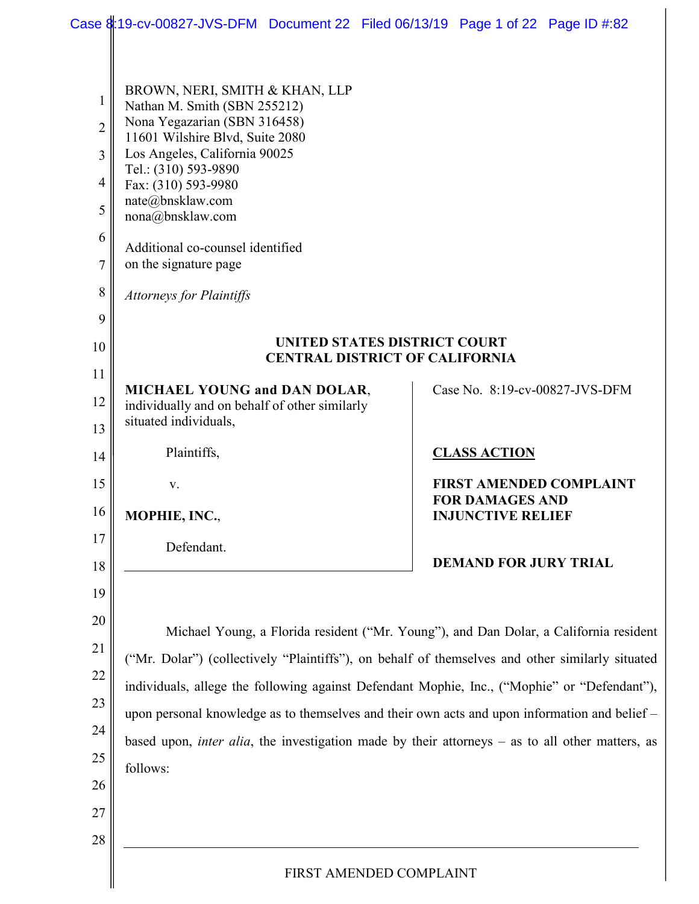|                                                                        | Case 8:19-cv-00827-JVS-DFM Document 22 Filed 06/13/19 Page 1 of 22 Page ID #:82                                                                                                                                                                                                                                                                                                                                           |                                                                       |                                                    |                                                                                       |
|------------------------------------------------------------------------|---------------------------------------------------------------------------------------------------------------------------------------------------------------------------------------------------------------------------------------------------------------------------------------------------------------------------------------------------------------------------------------------------------------------------|-----------------------------------------------------------------------|----------------------------------------------------|---------------------------------------------------------------------------------------|
| 1<br>$\overline{2}$<br>3<br>$\overline{4}$<br>5<br>6<br>$\overline{7}$ | BROWN, NERI, SMITH & KHAN, LLP<br>Nathan M. Smith (SBN 255212)<br>Nona Yegazarian (SBN 316458)<br>11601 Wilshire Blvd, Suite 2080<br>Los Angeles, California 90025<br>Tel.: (310) 593-9890<br>Fax: (310) 593-9980<br>nate@bnsklaw.com<br>nona@bnsklaw.com<br>Additional co-counsel identified<br>on the signature page                                                                                                    |                                                                       |                                                    |                                                                                       |
| 8                                                                      | <b>Attorneys for Plaintiffs</b>                                                                                                                                                                                                                                                                                                                                                                                           |                                                                       |                                                    |                                                                                       |
| 9<br>10                                                                |                                                                                                                                                                                                                                                                                                                                                                                                                           | UNITED STATES DISTRICT COURT<br><b>CENTRAL DISTRICT OF CALIFORNIA</b> |                                                    |                                                                                       |
| 11                                                                     | <b>MICHAEL YOUNG and DAN DOLAR,</b>                                                                                                                                                                                                                                                                                                                                                                                       |                                                                       |                                                    | Case No. 8:19-cv-00827-JVS-DFM                                                        |
| 12<br>13                                                               | individually and on behalf of other similarly<br>situated individuals,                                                                                                                                                                                                                                                                                                                                                    |                                                                       |                                                    |                                                                                       |
| 14                                                                     | Plaintiffs,                                                                                                                                                                                                                                                                                                                                                                                                               |                                                                       | <b>CLASS ACTION</b>                                |                                                                                       |
| 15                                                                     | V.                                                                                                                                                                                                                                                                                                                                                                                                                        |                                                                       |                                                    | <b>FIRST AMENDED COMPLAINT</b>                                                        |
| 16 <sup>1</sup>                                                        | MOPHIE, INC.,                                                                                                                                                                                                                                                                                                                                                                                                             |                                                                       | <b>FOR DAMAGES AND</b><br><b>INJUNCTIVE RELIEF</b> |                                                                                       |
| 17<br>18<br>19                                                         | Defendant.                                                                                                                                                                                                                                                                                                                                                                                                                |                                                                       | <b>DEMAND FOR JURY TRIAL</b>                       |                                                                                       |
| 20<br>21<br>$22\,$<br>23<br>24<br>$25\,$<br>26<br>27<br>$28\,$         | ("Mr. Dolar") (collectively "Plaintiffs"), on behalf of themselves and other similarly situated<br>individuals, allege the following against Defendant Mophie, Inc., ("Mophie" or "Defendant"),<br>upon personal knowledge as to themselves and their own acts and upon information and belief -<br>based upon, <i>inter alia</i> , the investigation made by their attorneys $-$ as to all other matters, as<br>follows: |                                                                       |                                                    | Michael Young, a Florida resident ("Mr. Young"), and Dan Dolar, a California resident |
|                                                                        |                                                                                                                                                                                                                                                                                                                                                                                                                           | FIRST AMENDED COMPLAINT                                               |                                                    |                                                                                       |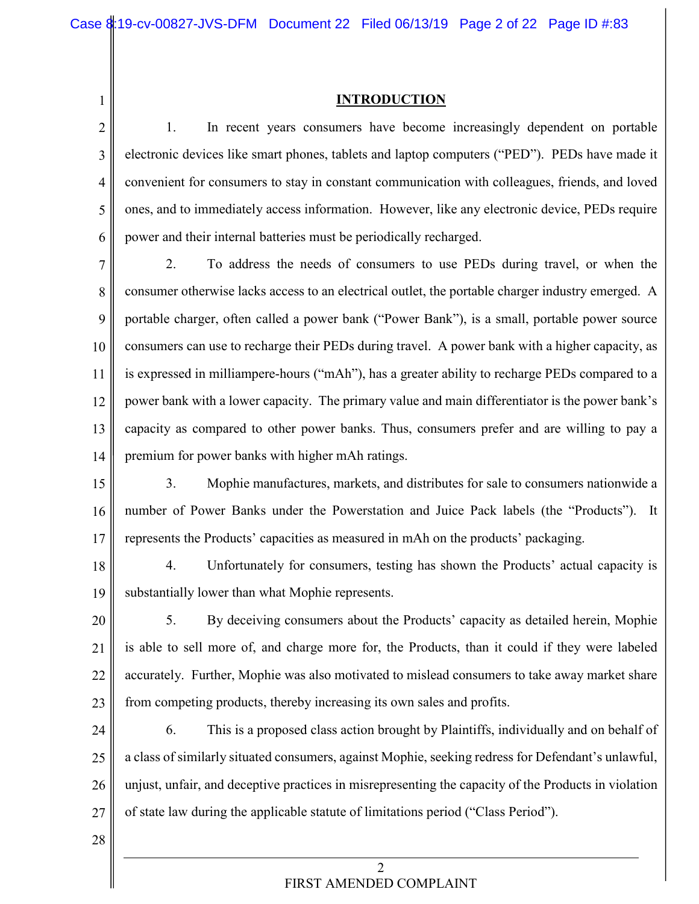#### **INTRODUCTION**

2 3 4 5 6 1. In recent years consumers have become increasingly dependent on portable electronic devices like smart phones, tablets and laptop computers ("PED"). PEDs have made it convenient for consumers to stay in constant communication with colleagues, friends, and loved ones, and to immediately access information. However, like any electronic device, PEDs require power and their internal batteries must be periodically recharged.

7 8 9 10 11 12 13 14 2. To address the needs of consumers to use PEDs during travel, or when the consumer otherwise lacks access to an electrical outlet, the portable charger industry emerged. A portable charger, often called a power bank ("Power Bank"), is a small, portable power source consumers can use to recharge their PEDs during travel. A power bank with a higher capacity, as is expressed in milliampere-hours ("mAh"), has a greater ability to recharge PEDs compared to a power bank with a lower capacity. The primary value and main differentiator is the power bank's capacity as compared to other power banks. Thus, consumers prefer and are willing to pay a premium for power banks with higher mAh ratings.

15 16 17 3. Mophie manufactures, markets, and distributes for sale to consumers nationwide a number of Power Banks under the Powerstation and Juice Pack labels (the "Products"). It represents the Products' capacities as measured in mAh on the products' packaging.

18 19 4. Unfortunately for consumers, testing has shown the Products' actual capacity is substantially lower than what Mophie represents.

20 21 22 23 5. By deceiving consumers about the Products' capacity as detailed herein, Mophie is able to sell more of, and charge more for, the Products, than it could if they were labeled accurately. Further, Mophie was also motivated to mislead consumers to take away market share from competing products, thereby increasing its own sales and profits.

24 25 26 27 6. This is a proposed class action brought by Plaintiffs, individually and on behalf of a class of similarly situated consumers, against Mophie, seeking redress for Defendant's unlawful, unjust, unfair, and deceptive practices in misrepresenting the capacity of the Products in violation of state law during the applicable statute of limitations period ("Class Period").

28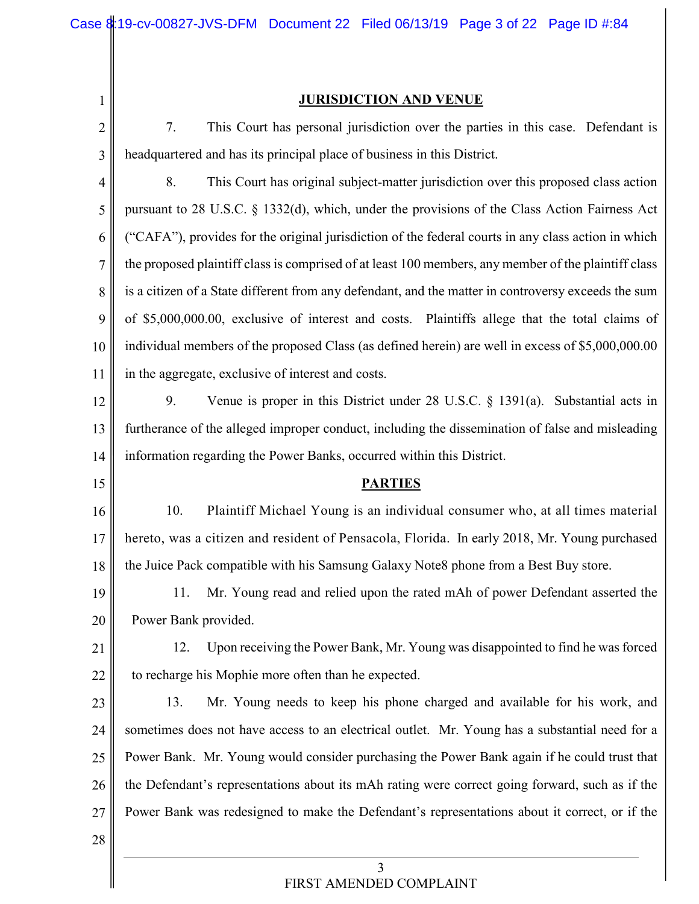1

#### **JURISDICTION AND VENUE**

2 3 7. This Court has personal jurisdiction over the parties in this case. Defendant is headquartered and has its principal place of business in this District.

4 5 6 7 8 9 10 11 8. This Court has original subject-matter jurisdiction over this proposed class action pursuant to 28 U.S.C. § 1332(d), which, under the provisions of the Class Action Fairness Act ("CAFA"), provides for the original jurisdiction of the federal courts in any class action in which the proposed plaintiff class is comprised of at least 100 members, any member of the plaintiff class is a citizen of a State different from any defendant, and the matter in controversy exceeds the sum of \$5,000,000.00, exclusive of interest and costs. Plaintiffs allege that the total claims of individual members of the proposed Class (as defined herein) are well in excess of \$5,000,000.00 in the aggregate, exclusive of interest and costs.

12 13 14 9. Venue is proper in this District under 28 U.S.C. § 1391(a). Substantial acts in furtherance of the alleged improper conduct, including the dissemination of false and misleading information regarding the Power Banks, occurred within this District.

**PARTIES**

16 17 18 10. Plaintiff Michael Young is an individual consumer who, at all times material hereto, was a citizen and resident of Pensacola, Florida. In early 2018, Mr. Young purchased the Juice Pack compatible with his Samsung Galaxy Note8 phone from a Best Buy store.

19 20 11. Mr. Young read and relied upon the rated mAh of power Defendant asserted the Power Bank provided.

21 22 12. Upon receiving the Power Bank, Mr. Young was disappointed to find he was forced to recharge his Mophie more often than he expected.

23 24 25 26 27 13. Mr. Young needs to keep his phone charged and available for his work, and sometimes does not have access to an electrical outlet. Mr. Young has a substantial need for a Power Bank. Mr. Young would consider purchasing the Power Bank again if he could trust that the Defendant's representations about its mAh rating were correct going forward, such as if the Power Bank was redesigned to make the Defendant's representations about it correct, or if the

28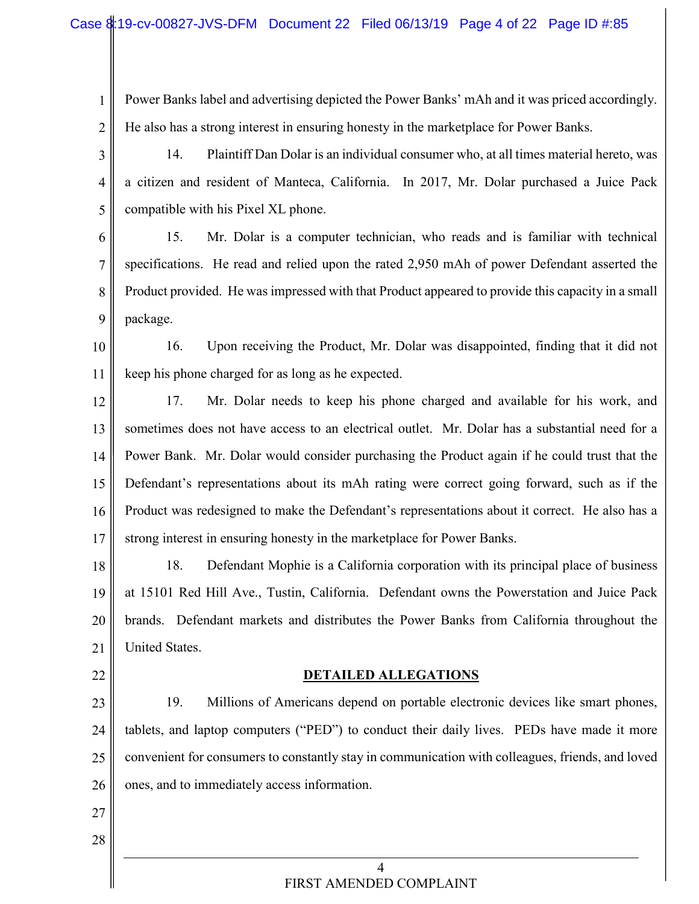- 1 2 Power Banks label and advertising depicted the Power Banks' mAh and it was priced accordingly. He also has a strong interest in ensuring honesty in the marketplace for Power Banks.
- 3 4 5 14. Plaintiff Dan Dolar is an individual consumer who, at all times material hereto, was a citizen and resident of Manteca, California. In 2017, Mr. Dolar purchased a Juice Pack compatible with his Pixel XL phone.

6 7 8 9 15. Mr. Dolar is a computer technician, who reads and is familiar with technical specifications. He read and relied upon the rated 2,950 mAh of power Defendant asserted the Product provided. He was impressed with that Product appeared to provide this capacity in a small package.

- 10 11 16. Upon receiving the Product, Mr. Dolar was disappointed, finding that it did not keep his phone charged for as long as he expected.
- 12 13 14 15 16 17 17. Mr. Dolar needs to keep his phone charged and available for his work, and sometimes does not have access to an electrical outlet. Mr. Dolar has a substantial need for a Power Bank. Mr. Dolar would consider purchasing the Product again if he could trust that the Defendant's representations about its mAh rating were correct going forward, such as if the Product was redesigned to make the Defendant's representations about it correct. He also has a strong interest in ensuring honesty in the marketplace for Power Banks.

18 19 20 21 18. Defendant Mophie is a California corporation with its principal place of business at 15101 Red Hill Ave., Tustin, California. Defendant owns the Powerstation and Juice Pack brands. Defendant markets and distributes the Power Banks from California throughout the United States.

22

### **DETAILED ALLEGATIONS**

23 24 25 26 19. Millions of Americans depend on portable electronic devices like smart phones, tablets, and laptop computers ("PED") to conduct their daily lives. PEDs have made it more convenient for consumers to constantly stay in communication with colleagues, friends, and loved ones, and to immediately access information.

27 28

> $\overline{\Delta}$ FIRST AMENDED COMPLAINT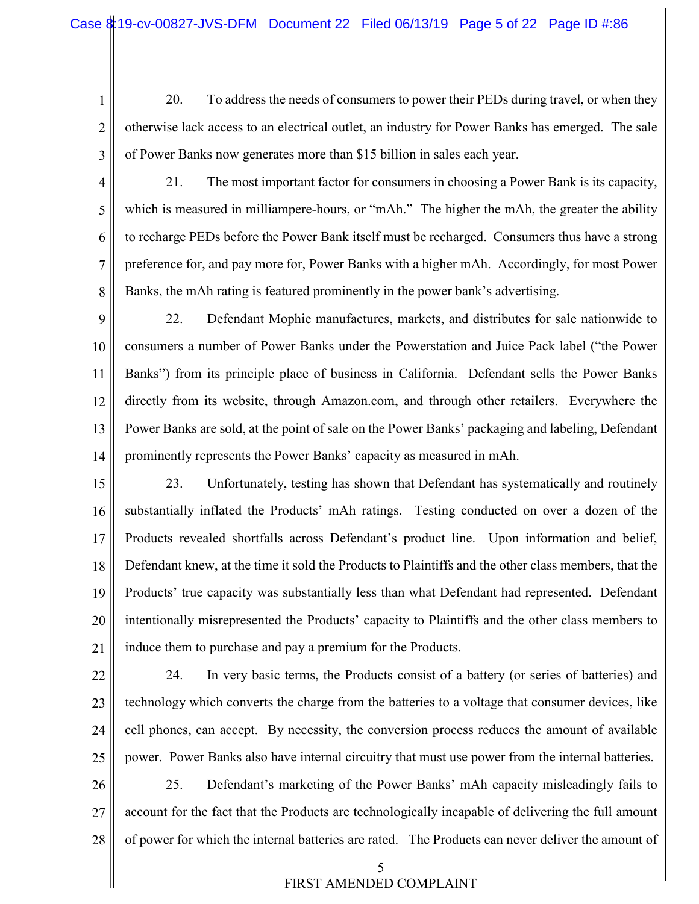1

2 3 20. To address the needs of consumers to power their PEDs during travel, or when they otherwise lack access to an electrical outlet, an industry for Power Banks has emerged. The sale of Power Banks now generates more than \$15 billion in sales each year.

4 5 6 7 8 21. The most important factor for consumers in choosing a Power Bank is its capacity, which is measured in milliampere-hours, or "mAh." The higher the mAh, the greater the ability to recharge PEDs before the Power Bank itself must be recharged. Consumers thus have a strong preference for, and pay more for, Power Banks with a higher mAh. Accordingly, for most Power Banks, the mAh rating is featured prominently in the power bank's advertising.

9 10 11 12 13 14 22. Defendant Mophie manufactures, markets, and distributes for sale nationwide to consumers a number of Power Banks under the Powerstation and Juice Pack label ("the Power Banks") from its principle place of business in California. Defendant sells the Power Banks directly from its website, through Amazon.com, and through other retailers. Everywhere the Power Banks are sold, at the point of sale on the Power Banks' packaging and labeling, Defendant prominently represents the Power Banks' capacity as measured in mAh.

15 16 17 18 19 20 21 23. Unfortunately, testing has shown that Defendant has systematically and routinely substantially inflated the Products' mAh ratings. Testing conducted on over a dozen of the Products revealed shortfalls across Defendant's product line. Upon information and belief, Defendant knew, at the time it sold the Products to Plaintiffs and the other class members, that the Products' true capacity was substantially less than what Defendant had represented. Defendant intentionally misrepresented the Products' capacity to Plaintiffs and the other class members to induce them to purchase and pay a premium for the Products.

22 23 24 25 26 24. In very basic terms, the Products consist of a battery (or series of batteries) and technology which converts the charge from the batteries to a voltage that consumer devices, like cell phones, can accept. By necessity, the conversion process reduces the amount of available power. Power Banks also have internal circuitry that must use power from the internal batteries. 25. Defendant's marketing of the Power Banks' mAh capacity misleadingly fails to

27 28 account for the fact that the Products are technologically incapable of delivering the full amount of power for which the internal batteries are rated. The Products can never deliver the amount of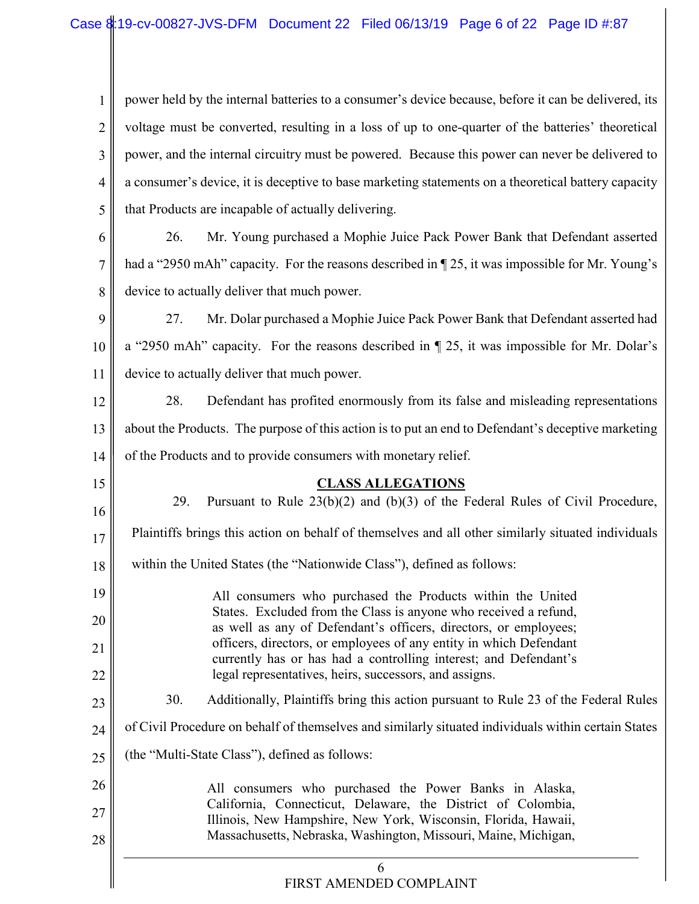1 2 3 4 5 power held by the internal batteries to a consumer's device because, before it can be delivered, its voltage must be converted, resulting in a loss of up to one-quarter of the batteries' theoretical power, and the internal circuitry must be powered. Because this power can never be delivered to a consumer's device, it is deceptive to base marketing statements on a theoretical battery capacity that Products are incapable of actually delivering.

6 7 8 26. Mr. Young purchased a Mophie Juice Pack Power Bank that Defendant asserted had a "2950 mAh" capacity. For the reasons described in  $\P$  25, it was impossible for Mr. Young's device to actually deliver that much power.

9 10 11 27. Mr. Dolar purchased a Mophie Juice Pack Power Bank that Defendant asserted had a "2950 mAh" capacity. For the reasons described in ¶ 25, it was impossible for Mr. Dolar's device to actually deliver that much power.

12 13 14 28. Defendant has profited enormously from its false and misleading representations about the Products. The purpose of this action is to put an end to Defendant's deceptive marketing of the Products and to provide consumers with monetary relief.

### **CLASS ALLEGATIONS**

15

6 16 17 18 19 20 21 22 23 24 25 26 27 28 29. Pursuant to Rule 23(b)(2) and (b)(3) of the Federal Rules of Civil Procedure, Plaintiffs brings this action on behalf of themselves and all other similarly situated individuals within the United States (the "Nationwide Class"), defined as follows: All consumers who purchased the Products within the United States. Excluded from the Class is anyone who received a refund, as well as any of Defendant's officers, directors, or employees; officers, directors, or employees of any entity in which Defendant currently has or has had a controlling interest; and Defendant's legal representatives, heirs, successors, and assigns. 30. Additionally, Plaintiffs bring this action pursuant to Rule 23 of the Federal Rules of Civil Procedure on behalf of themselves and similarly situated individuals within certain States (the "Multi-State Class"), defined as follows: All consumers who purchased the Power Banks in Alaska, California, Connecticut, Delaware, the District of Colombia, Illinois, New Hampshire, New York, Wisconsin, Florida, Hawaii, Massachusetts, Nebraska, Washington, Missouri, Maine, Michigan,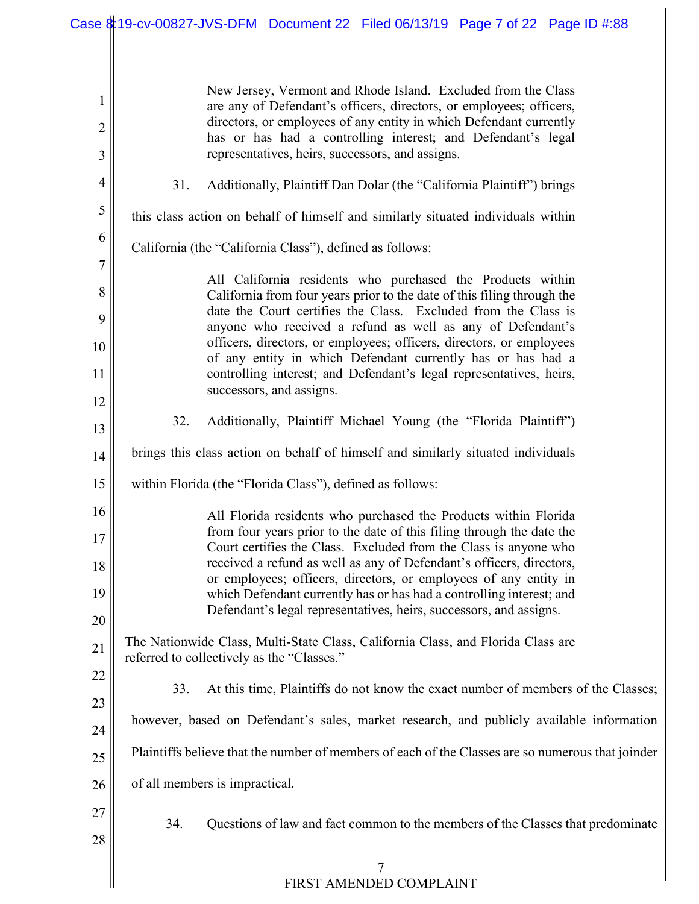| 1<br>$\overline{2}$ | New Jersey, Vermont and Rhode Island. Excluded from the Class<br>are any of Defendant's officers, directors, or employees; officers,<br>directors, or employees of any entity in which Defendant currently |
|---------------------|------------------------------------------------------------------------------------------------------------------------------------------------------------------------------------------------------------|
| 3                   | has or has had a controlling interest; and Defendant's legal<br>representatives, heirs, successors, and assigns.                                                                                           |
| $\overline{4}$      | 31.<br>Additionally, Plaintiff Dan Dolar (the "California Plaintiff") brings                                                                                                                               |
| 5                   | this class action on behalf of himself and similarly situated individuals within                                                                                                                           |
| 6                   | California (the "California Class"), defined as follows:                                                                                                                                                   |
| 7                   | All California residents who purchased the Products within                                                                                                                                                 |
| 8                   | California from four years prior to the date of this filing through the<br>date the Court certifies the Class. Excluded from the Class is                                                                  |
| 9                   | anyone who received a refund as well as any of Defendant's<br>officers, directors, or employees; officers, directors, or employees                                                                         |
| 10                  | of any entity in which Defendant currently has or has had a                                                                                                                                                |
| 11<br>12            | controlling interest; and Defendant's legal representatives, heirs,<br>successors, and assigns.                                                                                                            |
| 13                  | 32.<br>Additionally, Plaintiff Michael Young (the "Florida Plaintiff")                                                                                                                                     |
| 14                  | brings this class action on behalf of himself and similarly situated individuals                                                                                                                           |
| 15                  | within Florida (the "Florida Class"), defined as follows:                                                                                                                                                  |
| 16                  | All Florida residents who purchased the Products within Florida                                                                                                                                            |
| 17                  | from four years prior to the date of this filing through the date the<br>Court certifies the Class. Excluded from the Class is anyone who                                                                  |
| 18                  | received a refund as well as any of Defendant's officers, directors,                                                                                                                                       |
| 19                  | or employees; officers, directors, or employees of any entity in<br>which Defendant currently has or has had a controlling interest; and                                                                   |
| 20                  | Defendant's legal representatives, heirs, successors, and assigns.                                                                                                                                         |
| 21                  | The Nationwide Class, Multi-State Class, California Class, and Florida Class are<br>referred to collectively as the "Classes."                                                                             |
| 22                  |                                                                                                                                                                                                            |
| 23                  | At this time, Plaintiffs do not know the exact number of members of the Classes;<br>33.                                                                                                                    |
| 24                  | however, based on Defendant's sales, market research, and publicly available information                                                                                                                   |
| 25                  | Plaintiffs believe that the number of members of each of the Classes are so numerous that joinder                                                                                                          |
| 26                  | of all members is impractical.                                                                                                                                                                             |
| 27<br>28            | 34.<br>Questions of law and fact common to the members of the Classes that predominate                                                                                                                     |
|                     | $\overline{7}$<br>FIRST AMENDED COMPLAINT                                                                                                                                                                  |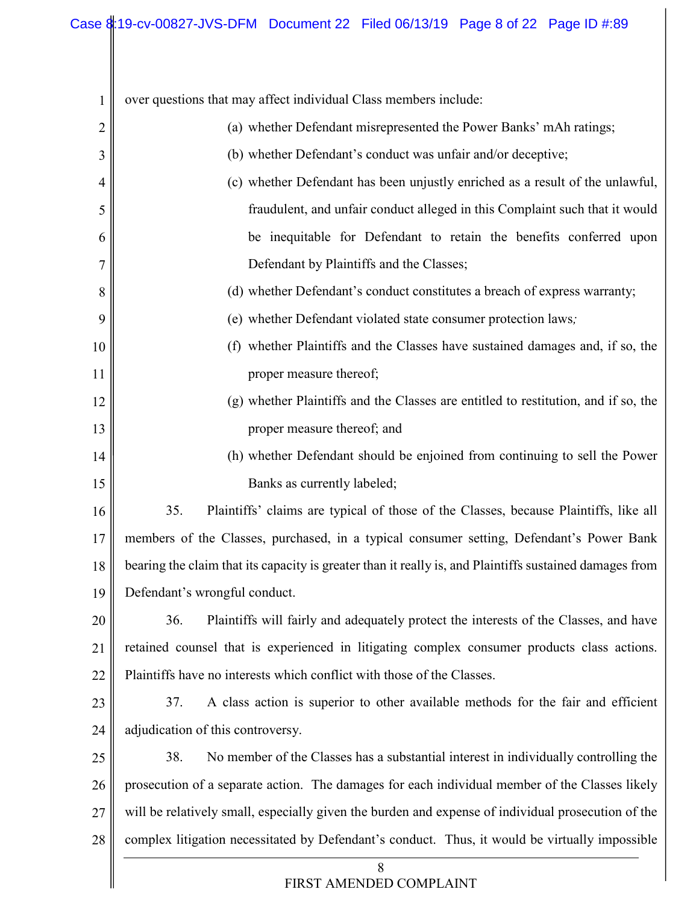| $\mathbf{1}$ | over questions that may affect individual Class members include:                                        |
|--------------|---------------------------------------------------------------------------------------------------------|
| 2            | (a) whether Defendant misrepresented the Power Banks' mAh ratings;                                      |
| 3            | (b) whether Defendant's conduct was unfair and/or deceptive;                                            |
| 4            | (c) whether Defendant has been unjustly enriched as a result of the unlawful,                           |
| 5            | fraudulent, and unfair conduct alleged in this Complaint such that it would                             |
| 6            | be inequitable for Defendant to retain the benefits conferred upon                                      |
| 7            | Defendant by Plaintiffs and the Classes;                                                                |
| 8            | (d) whether Defendant's conduct constitutes a breach of express warranty;                               |
| 9            | (e) whether Defendant violated state consumer protection laws;                                          |
| 10           | (f) whether Plaintiffs and the Classes have sustained damages and, if so, the                           |
| 11           | proper measure thereof;                                                                                 |
| 12           | (g) whether Plaintiffs and the Classes are entitled to restitution, and if so, the                      |
| 13           | proper measure thereof; and                                                                             |
| 14           | (h) whether Defendant should be enjoined from continuing to sell the Power                              |
| 15           | Banks as currently labeled;                                                                             |
| 16           | 35.<br>Plaintiffs' claims are typical of those of the Classes, because Plaintiffs, like all             |
| 17           | members of the Classes, purchased, in a typical consumer setting, Defendant's Power Bank                |
| 18           | bearing the claim that its capacity is greater than it really is, and Plaintiffs sustained damages from |
| 19           | Defendant's wrongful conduct.                                                                           |
| 20           | Plaintiffs will fairly and adequately protect the interests of the Classes, and have<br>36.             |
| 21           | retained counsel that is experienced in litigating complex consumer products class actions.             |
| 22           | Plaintiffs have no interests which conflict with those of the Classes.                                  |
| 23           | A class action is superior to other available methods for the fair and efficient<br>37.                 |
| 24           | adjudication of this controversy.                                                                       |
| 25           | No member of the Classes has a substantial interest in individually controlling the<br>38.              |
| 26           | prosecution of a separate action. The damages for each individual member of the Classes likely          |
| 27           | will be relatively small, especially given the burden and expense of individual prosecution of the      |
| 28           | complex litigation necessitated by Defendant's conduct. Thus, it would be virtually impossible          |
|              | 8<br>FIRST AMENDED COMPLAINT                                                                            |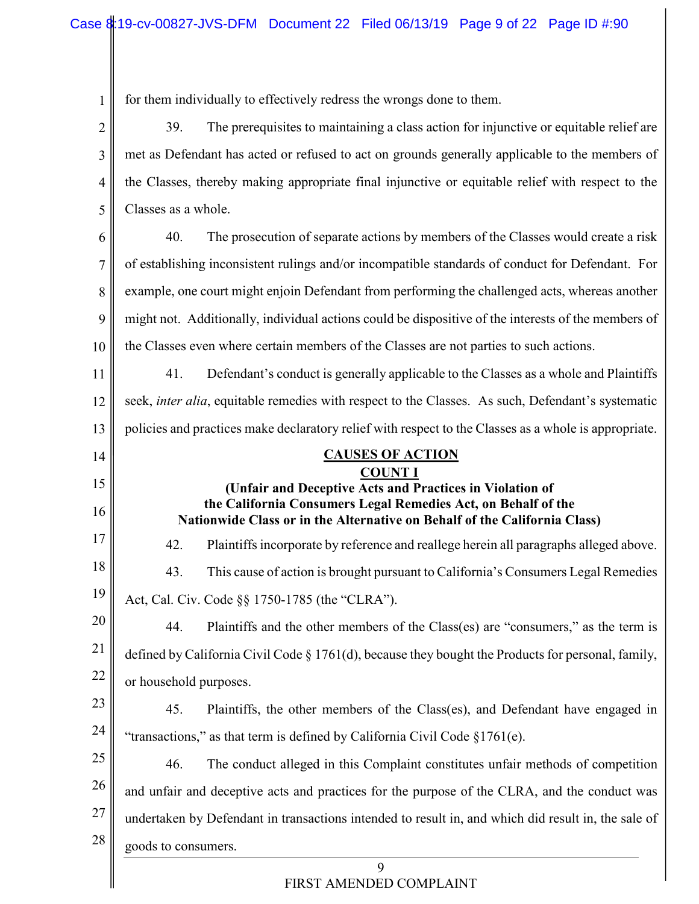for them individually to effectively redress the wrongs done to them.

1

9 2 3 4 5 6 7 8 9 10 11 12 13 14 15 16 17 18 19 20 21 22 23 24 25 26 27 28 39. The prerequisites to maintaining a class action for injunctive or equitable relief are met as Defendant has acted or refused to act on grounds generally applicable to the members of the Classes, thereby making appropriate final injunctive or equitable relief with respect to the Classes as a whole. 40. The prosecution of separate actions by members of the Classes would create a risk of establishing inconsistent rulings and/or incompatible standards of conduct for Defendant. For example, one court might enjoin Defendant from performing the challenged acts, whereas another might not. Additionally, individual actions could be dispositive of the interests of the members of the Classes even where certain members of the Classes are not parties to such actions. 41. Defendant's conduct is generally applicable to the Classes as a whole and Plaintiffs seek, *inter alia*, equitable remedies with respect to the Classes. As such, Defendant's systematic policies and practices make declaratory relief with respect to the Classes as a whole is appropriate. **CAUSES OF ACTION COUNT I (Unfair and Deceptive Acts and Practices in Violation of the California Consumers Legal Remedies Act, on Behalf of the Nationwide Class or in the Alternative on Behalf of the California Class)** 42. Plaintiffs incorporate by reference and reallege herein all paragraphs alleged above. 43. This cause of action is brought pursuant to California's Consumers Legal Remedies Act, Cal. Civ. Code §§ 1750-1785 (the "CLRA"). 44. Plaintiffs and the other members of the Class(es) are "consumers," as the term is defined by California Civil Code § 1761(d), because they bought the Products for personal, family, or household purposes. 45. Plaintiffs, the other members of the Class(es), and Defendant have engaged in "transactions," as that term is defined by California Civil Code §1761(e). 46. The conduct alleged in this Complaint constitutes unfair methods of competition and unfair and deceptive acts and practices for the purpose of the CLRA, and the conduct was undertaken by Defendant in transactions intended to result in, and which did result in, the sale of goods to consumers.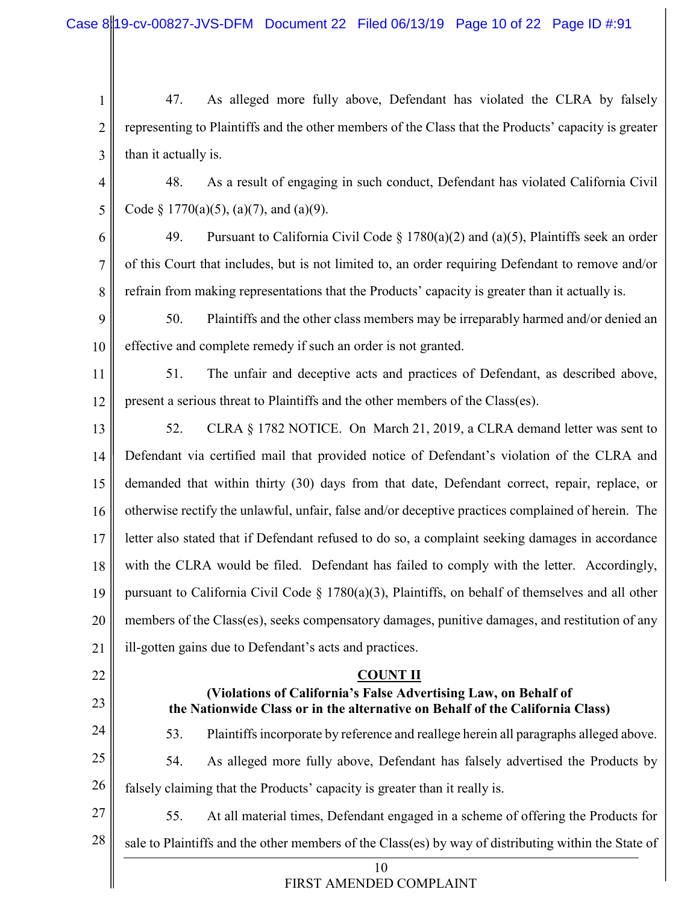1 2 3 47. As alleged more fully above, Defendant has violated the CLRA by falsely representing to Plaintiffs and the other members of the Class that the Products' capacity is greater than it actually is.

4 5 48. As a result of engaging in such conduct, Defendant has violated California Civil Code § 1770(a)(5), (a)(7), and (a)(9).

6

7

8

49. Pursuant to California Civil Code  $\S 1780(a)(2)$  and  $(a)(5)$ , Plaintiffs seek an order of this Court that includes, but is not limited to, an order requiring Defendant to remove and/or refrain from making representations that the Products' capacity is greater than it actually is.

9 10 50. Plaintiffs and the other class members may be irreparably harmed and/or denied an effective and complete remedy if such an order is not granted.

11 12 51. The unfair and deceptive acts and practices of Defendant, as described above, present a serious threat to Plaintiffs and the other members of the Class(es).

13 14 15 16 17 18 19 20 21 52. CLRA § 1782 NOTICE. On March 21, 2019, a CLRA demand letter was sent to Defendant via certified mail that provided notice of Defendant's violation of the CLRA and demanded that within thirty (30) days from that date, Defendant correct, repair, replace, or otherwise rectify the unlawful, unfair, false and/or deceptive practices complained of herein. The letter also stated that if Defendant refused to do so, a complaint seeking damages in accordance with the CLRA would be filed. Defendant has failed to comply with the letter. Accordingly, pursuant to California Civil Code  $\S 1780(a)(3)$ , Plaintiffs, on behalf of themselves and all other members of the Class(es), seeks compensatory damages, punitive damages, and restitution of any ill-gotten gains due to Defendant's acts and practices.

22 23 24 25 26 27 28 **COUNT II (Violations of California's False Advertising Law, on Behalf of the Nationwide Class or in the alternative on Behalf of the California Class)** 53. Plaintiffsincorporate by reference and reallege herein all paragraphs alleged above. 54. As alleged more fully above, Defendant has falsely advertised the Products by falsely claiming that the Products' capacity is greater than it really is. 55. At all material times, Defendant engaged in a scheme of offering the Products for sale to Plaintiffs and the other members of the Class(es) by way of distributing within the State of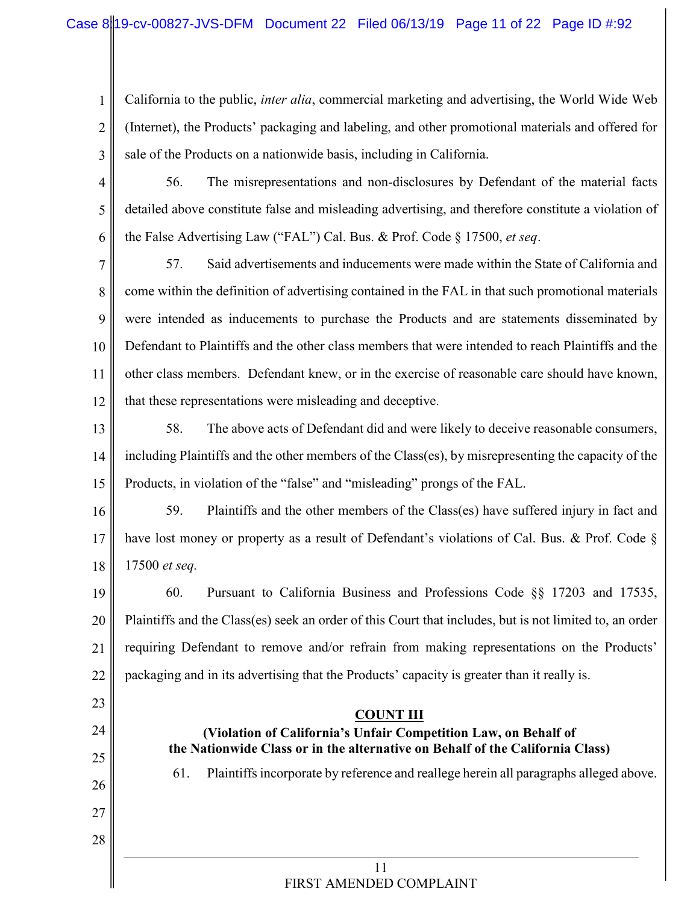1 2 3 California to the public, *inter alia*, commercial marketing and advertising, the World Wide Web (Internet), the Products' packaging and labeling, and other promotional materials and offered for sale of the Products on a nationwide basis, including in California.

4 5 6 56. The misrepresentations and non-disclosures by Defendant of the material facts detailed above constitute false and misleading advertising, and therefore constitute a violation of the False Advertising Law ("FAL") Cal. Bus. & Prof. Code § 17500, *et seq*.

7 8 9 10 11 12 57. Said advertisements and inducements were made within the State of California and come within the definition of advertising contained in the FAL in that such promotional materials were intended as inducements to purchase the Products and are statements disseminated by Defendant to Plaintiffs and the other class members that were intended to reach Plaintiffs and the other class members. Defendant knew, or in the exercise of reasonable care should have known, that these representations were misleading and deceptive.

13 14 15 58. The above acts of Defendant did and were likely to deceive reasonable consumers, including Plaintiffs and the other members of the Class(es), by misrepresenting the capacity of the Products, in violation of the "false" and "misleading" prongs of the FAL.

16 17 18 59. Plaintiffs and the other members of the Class(es) have suffered injury in fact and have lost money or property as a result of Defendant's violations of Cal. Bus. & Prof. Code § 17500 *et seq.*

19 20 21 22 60. Pursuant to California Business and Professions Code §§ 17203 and 17535, Plaintiffs and the Class(es) seek an order of this Court that includes, but is not limited to, an order requiring Defendant to remove and/or refrain from making representations on the Products' packaging and in its advertising that the Products' capacity is greater than it really is.

23 24 25 26 27 28 **COUNT III (Violation of California's Unfair Competition Law, on Behalf of the Nationwide Class or in the alternative on Behalf of the California Class)** 61. Plaintiffsincorporate by reference and reallege herein all paragraphs alleged above.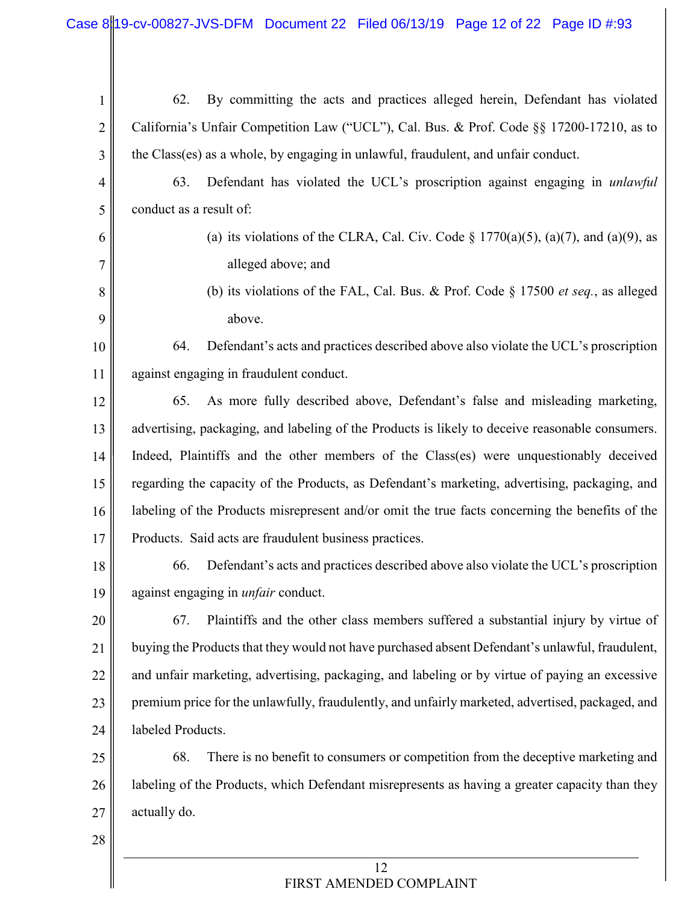- 1 2 3 62. By committing the acts and practices alleged herein, Defendant has violated California's Unfair Competition Law ("UCL"), Cal. Bus. & Prof. Code §§ 17200-17210, as to the Class(es) as a whole, by engaging in unlawful, fraudulent, and unfair conduct.
- 4 5 63. Defendant has violated the UCL's proscription against engaging in *unlawful* conduct as a result of:
	- (a) its violations of the CLRA, Cal. Civ. Code  $\S 1770(a)(5)$ ,  $(a)(7)$ , and  $(a)(9)$ , as alleged above; and
		- (b) its violations of the FAL, Cal. Bus. & Prof. Code § 17500 *et seq.*, as alleged above.

10 11 64. Defendant's acts and practices described above also violate the UCL's proscription against engaging in fraudulent conduct.

12 13 14 15 16 17 65. As more fully described above, Defendant's false and misleading marketing, advertising, packaging, and labeling of the Products is likely to deceive reasonable consumers. Indeed, Plaintiffs and the other members of the Class(es) were unquestionably deceived regarding the capacity of the Products, as Defendant's marketing, advertising, packaging, and labeling of the Products misrepresent and/or omit the true facts concerning the benefits of the Products. Said acts are fraudulent business practices.

- 18 19 66. Defendant's acts and practices described above also violate the UCL's proscription against engaging in *unfair* conduct.
- 20 21 22 23 24 67. Plaintiffs and the other class members suffered a substantial injury by virtue of buying the Products that they would not have purchased absent Defendant's unlawful, fraudulent, and unfair marketing, advertising, packaging, and labeling or by virtue of paying an excessive premium price for the unlawfully, fraudulently, and unfairly marketed, advertised, packaged, and labeled Products.

25 26 27 68. There is no benefit to consumers or competition from the deceptive marketing and labeling of the Products, which Defendant misrepresents as having a greater capacity than they actually do.

28

6

7

8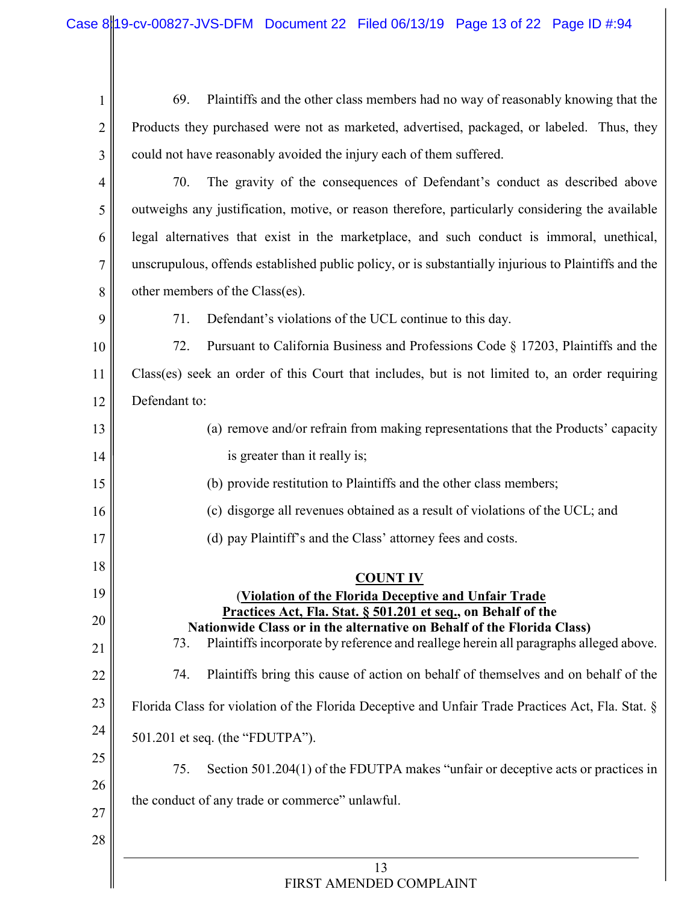| 1              | 69.<br>Plaintiffs and the other class members had no way of reasonably knowing that the                                                 |
|----------------|-----------------------------------------------------------------------------------------------------------------------------------------|
| $\overline{2}$ | Products they purchased were not as marketed, advertised, packaged, or labeled. Thus, they                                              |
| 3              | could not have reasonably avoided the injury each of them suffered.                                                                     |
| $\overline{4}$ | 70.<br>The gravity of the consequences of Defendant's conduct as described above                                                        |
| 5              | outweighs any justification, motive, or reason therefore, particularly considering the available                                        |
| 6              | legal alternatives that exist in the marketplace, and such conduct is immoral, unethical,                                               |
| 7              | unscrupulous, offends established public policy, or is substantially injurious to Plaintiffs and the                                    |
| 8              | other members of the Class(es).                                                                                                         |
| 9              | 71.<br>Defendant's violations of the UCL continue to this day.                                                                          |
| 10             | 72.<br>Pursuant to California Business and Professions Code § 17203, Plaintiffs and the                                                 |
| 11             | Class(es) seek an order of this Court that includes, but is not limited to, an order requiring                                          |
| 12             | Defendant to:                                                                                                                           |
| 13             | (a) remove and/or refrain from making representations that the Products' capacity                                                       |
| 14             | is greater than it really is;                                                                                                           |
| 15             | (b) provide restitution to Plaintiffs and the other class members;                                                                      |
| 16             | (c) disgorge all revenues obtained as a result of violations of the UCL; and                                                            |
| 17             | (d) pay Plaintiff's and the Class' attorney fees and costs.                                                                             |
| 18             | <b>COUNT IV</b>                                                                                                                         |
| 19             | (Violation of the Florida Deceptive and Unfair Trade                                                                                    |
| 20             | Practices Act, Fla. Stat. § 501.201 et seq., on Behalf of the<br>Nationwide Class or in the alternative on Behalf of the Florida Class) |
| 21             | Plaintiffs incorporate by reference and reallege herein all paragraphs alleged above.<br>73.                                            |
| 22             | Plaintiffs bring this cause of action on behalf of themselves and on behalf of the<br>74.                                               |
| 23             | Florida Class for violation of the Florida Deceptive and Unfair Trade Practices Act, Fla. Stat. §                                       |
| 24             | 501.201 et seq. (the "FDUTPA").                                                                                                         |
| 25             | Section 501.204(1) of the FDUTPA makes "unfair or deceptive acts or practices in<br>75.                                                 |
| 26             |                                                                                                                                         |
| 27             | the conduct of any trade or commerce" unlawful.                                                                                         |
| 28             |                                                                                                                                         |
|                | 13                                                                                                                                      |
|                | FIRST AMENDED COMPLAINT                                                                                                                 |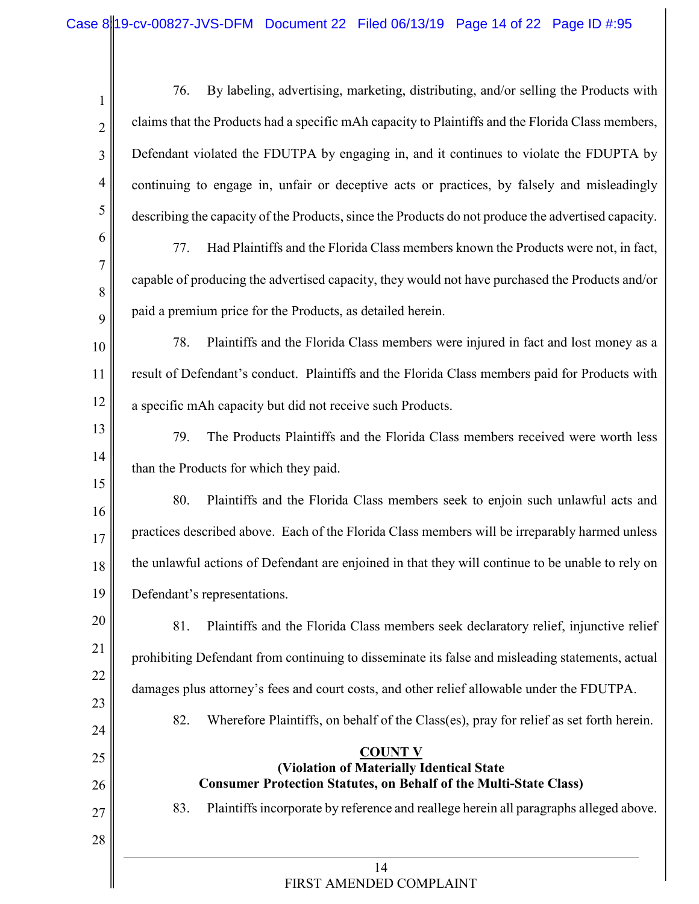1 2 3 4 5 6 7 8 9 10 11 12 13 14 15 16 17 76. By labeling, advertising, marketing, distributing, and/or selling the Products with claims that the Products had a specific mAh capacity to Plaintiffs and the Florida Class members, Defendant violated the FDUTPA by engaging in, and it continues to violate the FDUPTA by continuing to engage in, unfair or deceptive acts or practices, by falsely and misleadingly describing the capacity of the Products, since the Products do not produce the advertised capacity. 77. Had Plaintiffs and the Florida Class members known the Products were not, in fact, capable of producing the advertised capacity, they would not have purchased the Products and/or paid a premium price for the Products, as detailed herein. 78. Plaintiffs and the Florida Class members were injured in fact and lost money as a result of Defendant's conduct. Plaintiffs and the Florida Class members paid for Products with a specific mAh capacity but did not receive such Products. 79. The Products Plaintiffs and the Florida Class members received were worth less than the Products for which they paid. 80. Plaintiffs and the Florida Class members seek to enjoin such unlawful acts and practices described above. Each of the Florida Class members will be irreparably harmed unless

18 19 the unlawful actions of Defendant are enjoined in that they will continue to be unable to rely on Defendant's representations.

20 21 22 23 81. Plaintiffs and the Florida Class members seek declaratory relief, injunctive relief prohibiting Defendant from continuing to disseminate its false and misleading statements, actual damages plus attorney's fees and court costs, and other relief allowable under the FDUTPA.

82. Wherefore Plaintiffs, on behalf of the Class(es), pray for relief as set forth herein.

24

25

26

27

28

## **COUNT V**

**(Violation of Materially Identical State Consumer Protection Statutes, on Behalf of the Multi-State Class)**

83. Plaintiffs incorporate by reference and reallege herein all paragraphs alleged above.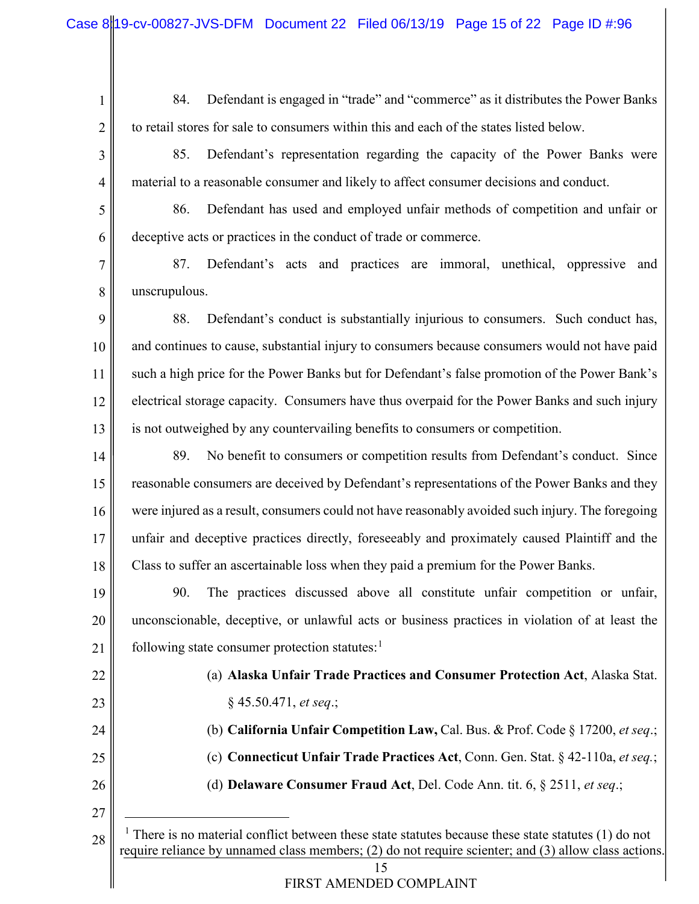- 84. Defendant is engaged in "trade" and "commerce" as it distributes the Power Banks to retail stores for sale to consumers within this and each of the states listed below.
- 4 85. Defendant's representation regarding the capacity of the Power Banks were material to a reasonable consumer and likely to affect consumer decisions and conduct.
- 5 6 86. Defendant has used and employed unfair methods of competition and unfair or deceptive acts or practices in the conduct of trade or commerce.
- 7 8 87. Defendant's acts and practices are immoral, unethical, oppressive and unscrupulous.
- 9 10 11 12 13 88. Defendant's conduct is substantially injurious to consumers. Such conduct has, and continues to cause, substantial injury to consumers because consumers would not have paid such a high price for the Power Banks but for Defendant's false promotion of the Power Bank's electrical storage capacity. Consumers have thus overpaid for the Power Banks and such injury is not outweighed by any countervailing benefits to consumers or competition.
- 14 15 16 17 18 89. No benefit to consumers or competition results from Defendant's conduct. Since reasonable consumers are deceived by Defendant's representations of the Power Banks and they were injured as a result, consumers could not have reasonably avoided such injury. The foregoing unfair and deceptive practices directly, foreseeably and proximately caused Plaintiff and the Class to suffer an ascertainable loss when they paid a premium for the Power Banks.

19 20 21 90. The practices discussed above all constitute unfair competition or unfair, unconscionable, deceptive, or unlawful acts or business practices in violation of at least the following state consumer protection statutes: $<sup>1</sup>$ </sup>

22

23

1

2

3

# (a) **Alaska Unfair Trade Practices and Consumer Protection Act**, Alaska Stat. § 45.50.471, *et seq*.;

- 24 (b) **California Unfair Competition Law,** Cal. Bus. & Prof. Code § 17200, *et seq*.;
	- (c) **Connecticut Unfair Trade Practices Act**, Conn. Gen. Stat. § 42-110a, *et seq.*;
- 26

27

- (d) **Delaware Consumer Fraud Act**, Del. Code Ann. tit. 6, § 2511, *et seq*.;
- 15 28 <sup>1</sup> There is no material conflict between these state statutes because these state statutes  $(1)$  do not require reliance by unnamed class members; (2) do not require scienter; and (3) allow class actions.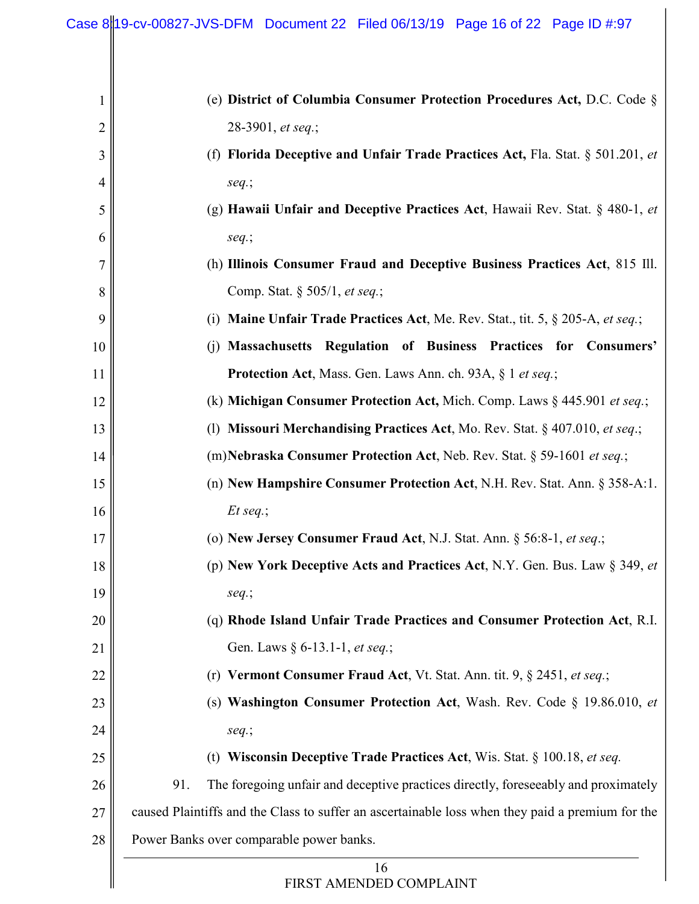| $\mathbf 1$    | (e) District of Columbia Consumer Protection Procedures Act, D.C. Code §                         |
|----------------|--------------------------------------------------------------------------------------------------|
| 2              | 28-3901, et seq.;                                                                                |
| 3              | (f) Florida Deceptive and Unfair Trade Practices Act, Fla. Stat. § 501.201, et                   |
| $\overline{4}$ | $seq$ .;                                                                                         |
| 5              | (g) Hawaii Unfair and Deceptive Practices Act, Hawaii Rev. Stat. $\S$ 480-1, et                  |
| 6              | $seq$ .;                                                                                         |
| 7              | (h) Illinois Consumer Fraud and Deceptive Business Practices Act, 815 Ill.                       |
| 8              | Comp. Stat. § 505/1, et seq.;                                                                    |
| 9              | <b>Maine Unfair Trade Practices Act, Me. Rev. Stat., tit. 5, § 205-A, et seq.;</b><br>(i)        |
| 10             | (j) Massachusetts Regulation of Business Practices for Consumers'                                |
| 11             | Protection Act, Mass. Gen. Laws Ann. ch. 93A, § 1 et seq.;                                       |
| 12             | (k) Michigan Consumer Protection Act, Mich. Comp. Laws $\S$ 445.901 et seq.;                     |
| 13             | (1) Missouri Merchandising Practices Act, Mo. Rev. Stat. $\S$ 407.010, et seq.;                  |
| 14             | (m) Nebraska Consumer Protection Act, Neb. Rev. Stat. § 59-1601 et seq.;                         |
| 15             | (n) New Hampshire Consumer Protection Act, N.H. Rev. Stat. Ann. § 358-A:1.                       |
| 16             | $Et$ seq.;                                                                                       |
| 17             | (o) New Jersey Consumer Fraud Act, N.J. Stat. Ann. § 56:8-1, et seq.;                            |
| 18             | (p) New York Deceptive Acts and Practices Act, N.Y. Gen. Bus. Law § 349, et                      |
| 19             | $seq$ .;                                                                                         |
| 20             | (q) Rhode Island Unfair Trade Practices and Consumer Protection Act, R.I.                        |
| 21             | Gen. Laws § 6-13.1-1, et seq.;                                                                   |
| 22             | (r) Vermont Consumer Fraud Act, Vt. Stat. Ann. tit. 9, § 2451, et seq.;                          |
| 23             | (s) Washington Consumer Protection Act, Wash. Rev. Code § 19.86.010, et                          |
| 24             | seq.;                                                                                            |
| 25             | (t) Wisconsin Deceptive Trade Practices Act, Wis. Stat. $\S$ 100.18, et seq.                     |
| 26             | 91.<br>The foregoing unfair and deceptive practices directly, foreseeably and proximately        |
| 27             | caused Plaintiffs and the Class to suffer an ascertainable loss when they paid a premium for the |
| 28             | Power Banks over comparable power banks.                                                         |
|                | 16<br>FIRST AMENDED COMPLAINT                                                                    |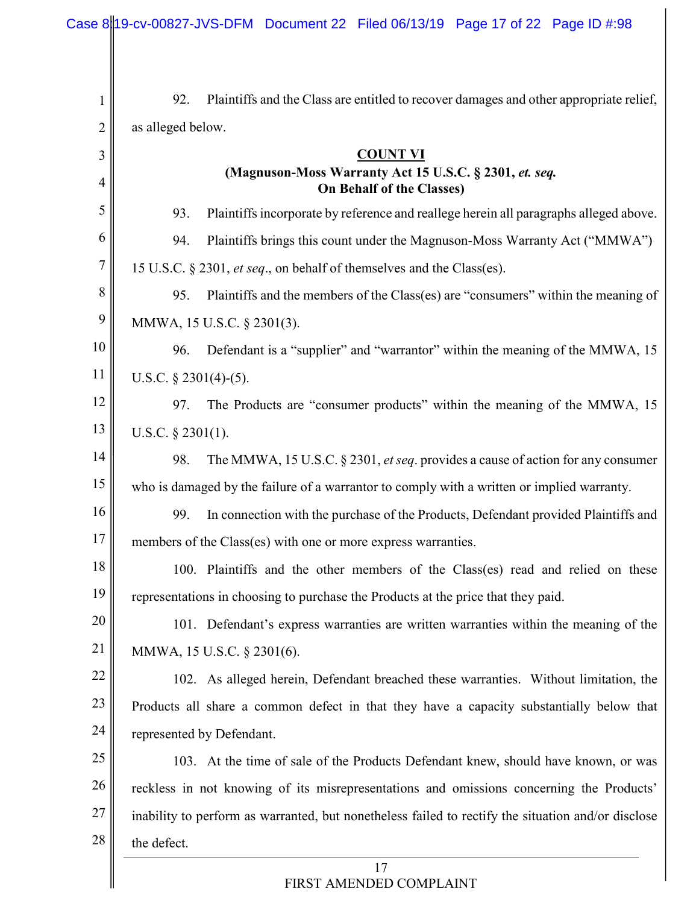|        | Case 8 19-cv-00827-JVS-DFM Document 22 Filed 06/13/19 Page 17 of 22 Page ID #:98                   |
|--------|----------------------------------------------------------------------------------------------------|
|        |                                                                                                    |
|        |                                                                                                    |
| 1      | 92.<br>Plaintiffs and the Class are entitled to recover damages and other appropriate relief,      |
| 2      | as alleged below.                                                                                  |
| 3      | <b>COUNT VI</b><br>(Magnuson-Moss Warranty Act 15 U.S.C. § 2301, et. seq.                          |
| 4      | <b>On Behalf of the Classes)</b>                                                                   |
| 5      | Plaintiffs incorporate by reference and reallege herein all paragraphs alleged above.<br>93.       |
| 6      | Plaintiffs brings this count under the Magnuson-Moss Warranty Act ("MMWA")<br>94.                  |
| $\tau$ | 15 U.S.C. § 2301, et seq., on behalf of themselves and the Class(es).                              |
| 8      | Plaintiffs and the members of the Class(es) are "consumers" within the meaning of<br>95.           |
| 9      | MMWA, 15 U.S.C. § 2301(3).                                                                         |
| 10     | Defendant is a "supplier" and "warrantor" within the meaning of the MMWA, 15<br>96.                |
| 11     | U.S.C. $§$ 2301(4)-(5).                                                                            |
| 12     | The Products are "consumer products" within the meaning of the MMWA, 15<br>97.                     |
| 13     | U.S.C. $\S$ 2301(1).                                                                               |
| 14     | The MMWA, 15 U.S.C. § 2301, et seq. provides a cause of action for any consumer<br>98.             |
| 15     | who is damaged by the failure of a warrantor to comply with a written or implied warranty.         |
| 16     | In connection with the purchase of the Products, Defendant provided Plaintiffs and<br>99.          |
| $17\,$ | members of the Class(es) with one or more express warranties.                                      |
| 18     | 100. Plaintiffs and the other members of the Class(es) read and relied on these                    |
| 19     | representations in choosing to purchase the Products at the price that they paid.                  |
| 20     | 101. Defendant's express warranties are written warranties within the meaning of the               |
| 21     | MMWA, 15 U.S.C. § 2301(6).                                                                         |
| 22     | 102. As alleged herein, Defendant breached these warranties. Without limitation, the               |
| 23     | Products all share a common defect in that they have a capacity substantially below that           |
| 24     | represented by Defendant.                                                                          |
| 25     | 103. At the time of sale of the Products Defendant knew, should have known, or was                 |
| 26     | reckless in not knowing of its misrepresentations and omissions concerning the Products'           |
| 27     | inability to perform as warranted, but nonetheless failed to rectify the situation and/or disclose |
| 28     | the defect.                                                                                        |
|        | 17<br>FIRST AMENDED COMPLAINT                                                                      |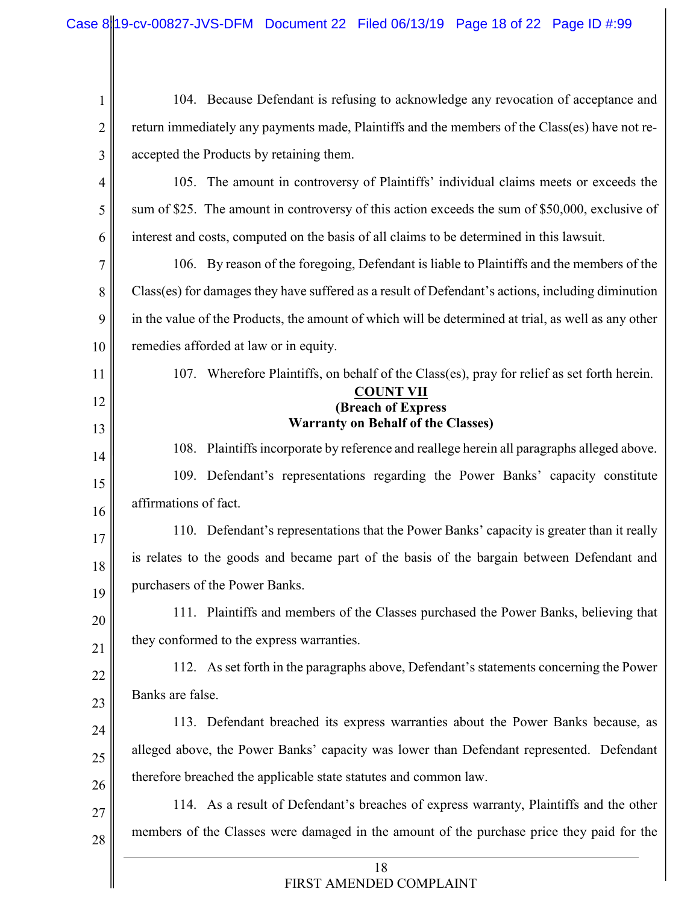| $\mathbf{1}$   | 104. Because Defendant is refusing to acknowledge any revocation of acceptance and                  |
|----------------|-----------------------------------------------------------------------------------------------------|
| $\overline{2}$ | return immediately any payments made, Plaintiffs and the members of the Class(es) have not re-      |
| 3              | accepted the Products by retaining them.                                                            |
| $\overline{4}$ | 105. The amount in controversy of Plaintiffs' individual claims meets or exceeds the                |
| 5              | sum of \$25. The amount in controversy of this action exceeds the sum of \$50,000, exclusive of     |
| 6              | interest and costs, computed on the basis of all claims to be determined in this lawsuit.           |
| 7              | 106. By reason of the foregoing, Defendant is liable to Plaintiffs and the members of the           |
| 8              | Class(es) for damages they have suffered as a result of Defendant's actions, including diminution   |
| 9              | in the value of the Products, the amount of which will be determined at trial, as well as any other |
| 10             | remedies afforded at law or in equity.                                                              |
| 11             | 107. Wherefore Plaintiffs, on behalf of the Class(es), pray for relief as set forth herein.         |
| 12             | <b>COUNT VII</b><br>(Breach of Express                                                              |
| 13             | <b>Warranty on Behalf of the Classes)</b>                                                           |
| 14             | 108. Plaintiffs incorporate by reference and reallege herein all paragraphs alleged above.          |
| 15             | 109. Defendant's representations regarding the Power Banks' capacity constitute                     |
| 16             | affirmations of fact.                                                                               |
| 17             | 110. Defendant's representations that the Power Banks' capacity is greater than it really           |
| 18             | is relates to the goods and became part of the basis of the bargain between Defendant and           |
| 19             | purchasers of the Power Banks.                                                                      |
| 20             | 111. Plaintiffs and members of the Classes purchased the Power Banks, believing that                |
| 21             | they conformed to the express warranties.                                                           |
| 22             | 112. As set forth in the paragraphs above, Defendant's statements concerning the Power              |
| 23             | Banks are false.                                                                                    |
| 24             | 113. Defendant breached its express warranties about the Power Banks because, as                    |
| 25             | alleged above, the Power Banks' capacity was lower than Defendant represented. Defendant            |
| 26             | therefore breached the applicable state statutes and common law.                                    |
| 27             | 114. As a result of Defendant's breaches of express warranty, Plaintiffs and the other              |
| 28             | members of the Classes were damaged in the amount of the purchase price they paid for the           |
|                | 18<br>FIRST AMENDED COMPLAINT                                                                       |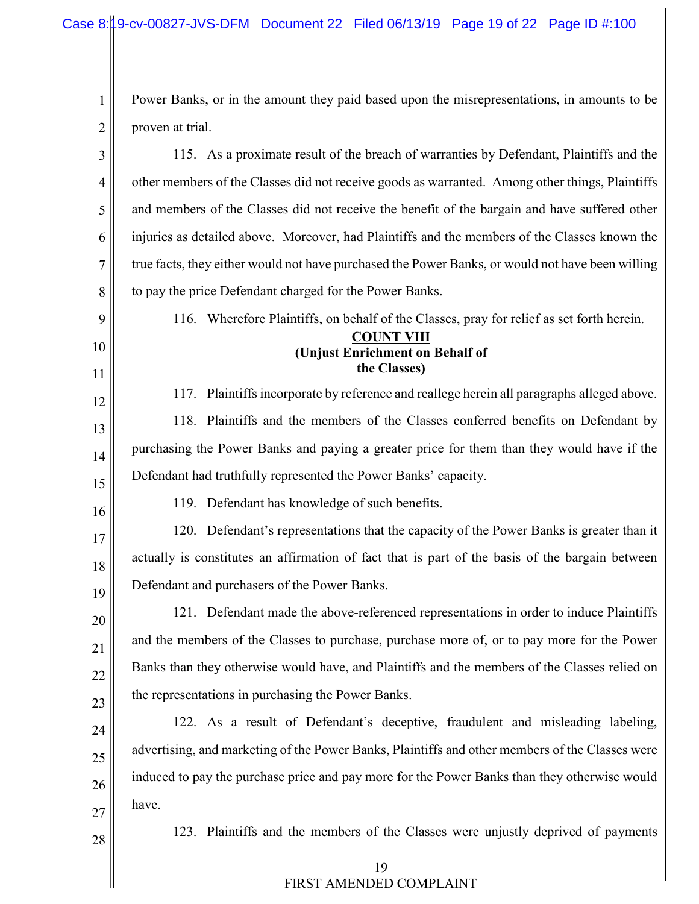1 2 Power Banks, or in the amount they paid based upon the misrepresentations, in amounts to be proven at trial.

| 3        | 115. As a proximate result of the breach of warranties by Defendant, Plaintiffs and the          |
|----------|--------------------------------------------------------------------------------------------------|
| 4        | other members of the Classes did not receive goods as warranted. Among other things, Plaintiffs  |
| 5        | and members of the Classes did not receive the benefit of the bargain and have suffered other    |
| 6        | injuries as detailed above. Moreover, had Plaintiffs and the members of the Classes known the    |
| 7        | true facts, they either would not have purchased the Power Banks, or would not have been willing |
| 8        | to pay the price Defendant charged for the Power Banks.                                          |
| 9        | 116. Wherefore Plaintiffs, on behalf of the Classes, pray for relief as set forth herein.        |
| 10<br>11 | <b>COUNT VIII</b><br>(Unjust Enrichment on Behalf of<br>the Classes)                             |
| 12       | 117. Plaintiffs incorporate by reference and reallege herein all paragraphs alleged above.       |
| 13       | 118. Plaintiffs and the members of the Classes conferred benefits on Defendant by                |
| 14       | purchasing the Power Banks and paying a greater price for them than they would have if the       |
| 15       | Defendant had truthfully represented the Power Banks' capacity.                                  |
| 16       | 119. Defendant has knowledge of such benefits.                                                   |
| 17       | 120. Defendant's representations that the capacity of the Power Banks is greater than it         |
| 18       | actually is constitutes an affirmation of fact that is part of the basis of the bargain between  |
| 19       | Defendant and purchasers of the Power Banks.                                                     |
| 20       | 121. Defendant made the above-referenced representations in order to induce Plaintiffs           |
| 21       | and the members of the Classes to purchase, purchase more of, or to pay more for the Power       |
| 22       | Banks than they otherwise would have, and Plaintiffs and the members of the Classes relied on    |
| 23       | the representations in purchasing the Power Banks.                                               |
| 24       | 122. As a result of Defendant's deceptive, fraudulent and misleading labeling,                   |
| $25\,$   | advertising, and marketing of the Power Banks, Plaintiffs and other members of the Classes were  |
| 26       | induced to pay the purchase price and pay more for the Power Banks than they otherwise would     |
| 27       | have.                                                                                            |
| 28       | 123. Plaintiffs and the members of the Classes were unjustly deprived of payments                |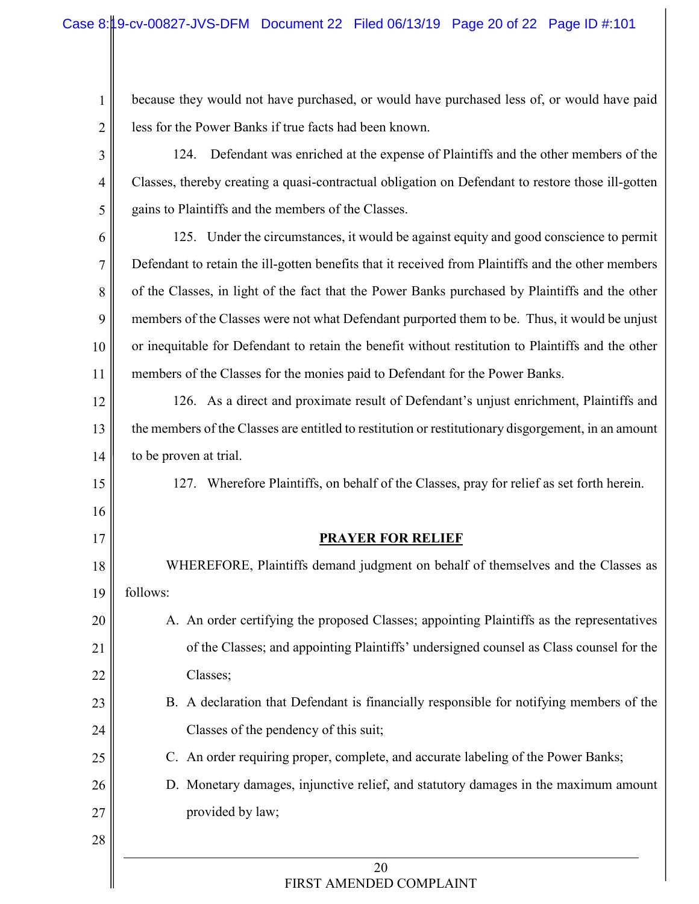because they would not have purchased, or would have purchased less of, or would have paid less for the Power Banks if true facts had been known.

- 3 4 5 124. Defendant was enriched at the expense of Plaintiffs and the other members of the Classes, thereby creating a quasi-contractual obligation on Defendant to restore those ill-gotten gains to Plaintiffs and the members of the Classes.
- 6 7 8 9 10 11 125. Under the circumstances, it would be against equity and good conscience to permit Defendant to retain the ill-gotten benefits that it received from Plaintiffs and the other members of the Classes, in light of the fact that the Power Banks purchased by Plaintiffs and the other members of the Classes were not what Defendant purported them to be. Thus, it would be unjust or inequitable for Defendant to retain the benefit without restitution to Plaintiffs and the other members of the Classes for the monies paid to Defendant for the Power Banks.
- 12 13 14 126. As a direct and proximate result of Defendant's unjust enrichment, Plaintiffs and the members of the Classes are entitled to restitution or restitutionary disgorgement, in an amount to be proven at trial.
	- 127. Wherefore Plaintiffs, on behalf of the Classes, pray for relief as set forth herein.

### **PRAYER FOR RELIEF**

- 18 19 20 21 22 23 WHEREFORE, Plaintiffs demand judgment on behalf of themselves and the Classes as follows: A. An order certifying the proposed Classes; appointing Plaintiffs as the representatives of the Classes; and appointing Plaintiffs' undersigned counsel as Class counsel for the Classes; B. A declaration that Defendant is financially responsible for notifying members of the
	- Classes of the pendency of this suit;
	- C. An order requiring proper, complete, and accurate labeling of the Power Banks;
- 26 27 D. Monetary damages, injunctive relief, and statutory damages in the maximum amount provided by law;
- 28

24

25

15

16

17

1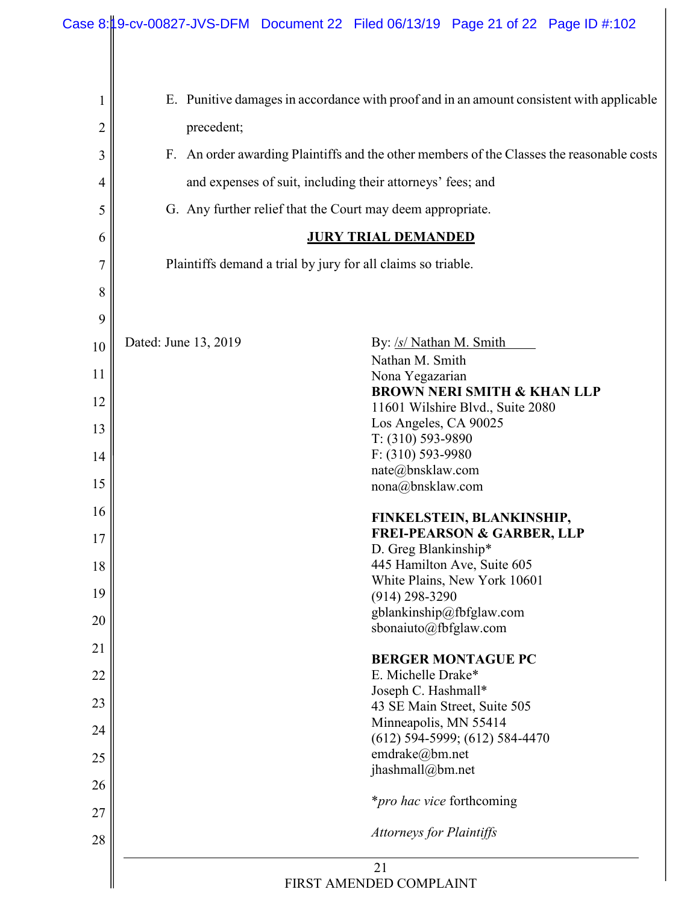| 1  | E. Punitive damages in accordance with proof and in an amount consistent with applicable     |
|----|----------------------------------------------------------------------------------------------|
| 2  | precedent;                                                                                   |
| 3  | An order awarding Plaintiffs and the other members of the Classes the reasonable costs<br>F. |
| 4  | and expenses of suit, including their attorneys' fees; and                                   |
| 5  | G. Any further relief that the Court may deem appropriate.                                   |
| 6  | <b>JURY TRIAL DEMANDED</b>                                                                   |
| 7  | Plaintiffs demand a trial by jury for all claims so triable.                                 |
| 8  |                                                                                              |
| 9  |                                                                                              |
| 10 | Dated: June 13, 2019<br>By: /s/ Nathan M. Smith                                              |
| 11 | Nathan M. Smith<br>Nona Yegazarian                                                           |
| 12 | <b>BROWN NERI SMITH &amp; KHAN LLP</b><br>11601 Wilshire Blvd., Suite 2080                   |
| 13 | Los Angeles, CA 90025<br>$T: (310) 593-9890$                                                 |
| 14 | $F: (310) 593-9980$                                                                          |
| 15 | nate@bnsklaw.com<br>nona@bnsklaw.com                                                         |
| 16 | FINKELSTEIN, BLANKINSHIP,                                                                    |
| 17 | <b>FREI-PEARSON &amp; GARBER, LLP</b><br>D. Greg Blankinship*                                |
| 18 | 445 Hamilton Ave, Suite 605                                                                  |
| 19 | White Plains, New York 10601<br>$(914)$ 298-3290                                             |
| 20 | gblankinship@fbfglaw.com<br>sbonaiuto@fbfglaw.com                                            |
| 21 |                                                                                              |
| 22 | <b>BERGER MONTAGUE PC</b><br>E. Michelle Drake*                                              |
| 23 | Joseph C. Hashmall*<br>43 SE Main Street, Suite 505                                          |
| 24 | Minneapolis, MN 55414                                                                        |
| 25 | $(612)$ 594-5999; $(612)$ 584-4470<br>emdrake@bm.net                                         |
| 26 | jhashmall@bm.net                                                                             |
| 27 | <i>*pro hac vice</i> forthcoming                                                             |
| 28 | <b>Attorneys for Plaintiffs</b>                                                              |
|    | 21                                                                                           |
|    | FIRST AMENDED COMPLAINT                                                                      |